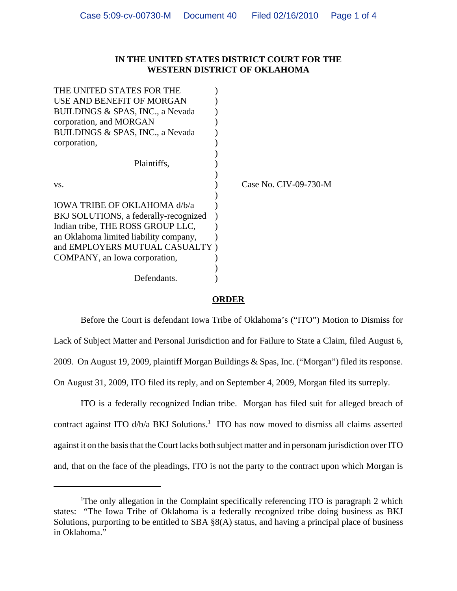## **IN THE UNITED STATES DISTRICT COURT FOR THE WESTERN DISTRICT OF OKLAHOMA**

| THE UNITED STATES FOR THE              |                       |
|----------------------------------------|-----------------------|
| USE AND BENEFIT OF MORGAN              |                       |
| BUILDINGS & SPAS, INC., a Nevada       |                       |
| corporation, and MORGAN                |                       |
| BUILDINGS & SPAS, INC., a Nevada       |                       |
| corporation,                           |                       |
|                                        |                       |
| Plaintiffs,                            |                       |
|                                        |                       |
| VS.                                    | Case No. CIV-09-730-M |
|                                        |                       |
| IOWA TRIBE OF OKLAHOMA d/b/a           |                       |
| BKJ SOLUTIONS, a federally-recognized  |                       |
| Indian tribe, THE ROSS GROUP LLC,      |                       |
| an Oklahoma limited liability company, |                       |
| and EMPLOYERS MUTUAL CASUALTY)         |                       |
| COMPANY, an Iowa corporation,          |                       |
|                                        |                       |
| Defendants.                            |                       |
|                                        |                       |

## **ORDER**

Before the Court is defendant Iowa Tribe of Oklahoma's ("ITO") Motion to Dismiss for Lack of Subject Matter and Personal Jurisdiction and for Failure to State a Claim, filed August 6, 2009. On August 19, 2009, plaintiff Morgan Buildings & Spas, Inc. ("Morgan") filed its response. On August 31, 2009, ITO filed its reply, and on September 4, 2009, Morgan filed its surreply.

ITO is a federally recognized Indian tribe. Morgan has filed suit for alleged breach of contract against ITO d/b/a BKJ Solutions.<sup>1</sup> ITO has now moved to dismiss all claims asserted against it on the basis that the Court lacks both subject matter and in personam jurisdiction over ITO and, that on the face of the pleadings, ITO is not the party to the contract upon which Morgan is

<sup>&</sup>lt;sup>1</sup>The only allegation in the Complaint specifically referencing ITO is paragraph 2 which states: "The Iowa Tribe of Oklahoma is a federally recognized tribe doing business as BKJ Solutions, purporting to be entitled to SBA §8(A) status, and having a principal place of business in Oklahoma."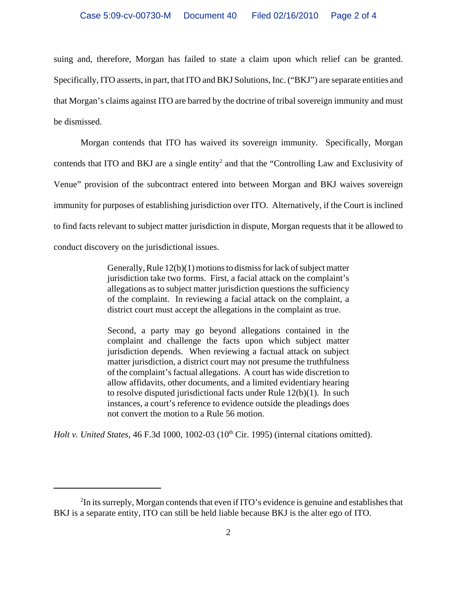suing and, therefore, Morgan has failed to state a claim upon which relief can be granted. Specifically, ITO asserts, in part, that ITO and BKJ Solutions, Inc. ("BKJ") are separate entities and that Morgan's claims against ITO are barred by the doctrine of tribal sovereign immunity and must be dismissed.

Morgan contends that ITO has waived its sovereign immunity. Specifically, Morgan contends that ITO and BKJ are a single entity<sup>2</sup> and that the "Controlling Law and Exclusivity of Venue" provision of the subcontract entered into between Morgan and BKJ waives sovereign immunity for purposes of establishing jurisdiction over ITO. Alternatively, if the Court is inclined to find facts relevant to subject matter jurisdiction in dispute, Morgan requests that it be allowed to conduct discovery on the jurisdictional issues.

> Generally, Rule 12(b)(1) motions to dismiss for lack of subject matter jurisdiction take two forms. First, a facial attack on the complaint's allegations as to subject matter jurisdiction questions the sufficiency of the complaint. In reviewing a facial attack on the complaint, a district court must accept the allegations in the complaint as true.

> Second, a party may go beyond allegations contained in the complaint and challenge the facts upon which subject matter jurisdiction depends. When reviewing a factual attack on subject matter jurisdiction, a district court may not presume the truthfulness of the complaint's factual allegations. A court has wide discretion to allow affidavits, other documents, and a limited evidentiary hearing to resolve disputed jurisdictional facts under Rule 12(b)(1). In such instances, a court's reference to evidence outside the pleadings does not convert the motion to a Rule 56 motion.

*Holt v. United States*, 46 F.3d 1000, 1002-03 (10<sup>th</sup> Cir. 1995) (internal citations omitted).

 $2^2$ In its surreply, Morgan contends that even if ITO's evidence is genuine and establishes that BKJ is a separate entity, ITO can still be held liable because BKJ is the alter ego of ITO.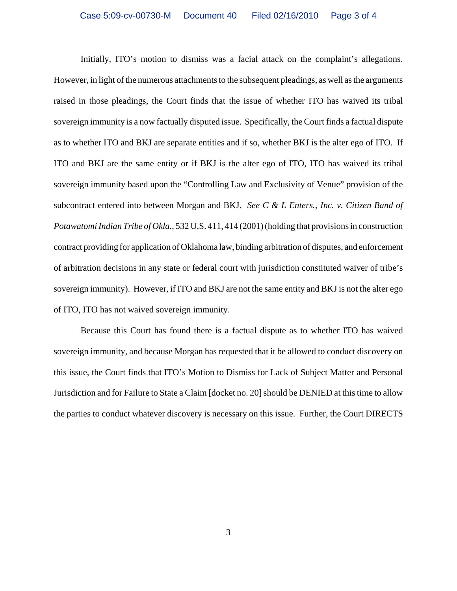Initially, ITO's motion to dismiss was a facial attack on the complaint's allegations. However, in light of the numerous attachments to the subsequent pleadings, as well as the arguments raised in those pleadings, the Court finds that the issue of whether ITO has waived its tribal sovereign immunity is a now factually disputed issue. Specifically, the Court finds a factual dispute as to whether ITO and BKJ are separate entities and if so, whether BKJ is the alter ego of ITO. If ITO and BKJ are the same entity or if BKJ is the alter ego of ITO, ITO has waived its tribal sovereign immunity based upon the "Controlling Law and Exclusivity of Venue" provision of the subcontract entered into between Morgan and BKJ. *See C & L Enters., Inc. v. Citizen Band of Potawatomi Indian Tribe of Okla.*, 532 U.S. 411, 414 (2001) (holding that provisions in construction contract providing for application of Oklahoma law, binding arbitration of disputes, and enforcement of arbitration decisions in any state or federal court with jurisdiction constituted waiver of tribe's sovereign immunity). However, if ITO and BKJ are not the same entity and BKJ is not the alter ego of ITO, ITO has not waived sovereign immunity.

Because this Court has found there is a factual dispute as to whether ITO has waived sovereign immunity, and because Morgan has requested that it be allowed to conduct discovery on this issue, the Court finds that ITO's Motion to Dismiss for Lack of Subject Matter and Personal Jurisdiction and for Failure to State a Claim [docket no. 20] should be DENIED at this time to allow the parties to conduct whatever discovery is necessary on this issue. Further, the Court DIRECTS